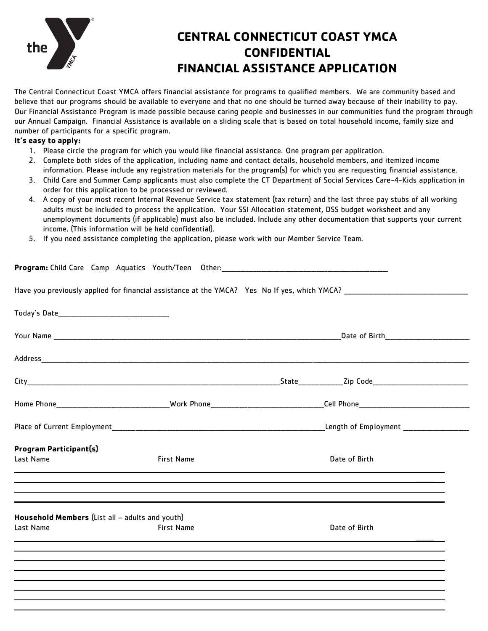

## **CENTRAL CONNECTICUT COAST YMCA CONFIDENTIAL FINANCIAL ASSISTANCE APPLICATION**

The Central Connecticut Coast YMCA offers financial assistance for programs to qualified members. We are community based and believe that our programs should be available to everyone and that no one should be turned away because of their inability to pay. Our Financial Assistance Program is made possible because caring people and businesses in our communities fund the program through our Annual Campaign. Financial Assistance is available on a sliding scale that is based on total household income, family size and number of participants for a specific program.

### **It's easy to apply:**

- 1. Please circle the program for which you would like financial assistance. One program per application.
- 2. Complete both sides of the application, including name and contact details, household members, and itemized income information. Please include any registration materials for the program(s) for which you are requesting financial assistance.
- 3. Child Care and Summer Camp applicants must also complete the CT Department of Social Services Care-4-Kids application in order for this application to be processed or reviewed.
- 4. A copy of your most recent Internal Revenue Service tax statement (tax return) and the last three pay stubs of all working adults must be included to process the application. Your SSI Allocation statement, DSS budget worksheet and any unemployment documents (if applicable) must also be included. Include any other documentation that supports your current income. (This information will be held confidential).
- 5. If you need assistance completing the application, please work with our Member Service Team.

|                                                              |                   | Program: Child Care Camp Aquatics Youth/Teen Other: 2008 2014 2014 2014 2016 2017 2018 2019 2019 2014 2016 201 |  |  |
|--------------------------------------------------------------|-------------------|----------------------------------------------------------------------------------------------------------------|--|--|
|                                                              |                   |                                                                                                                |  |  |
|                                                              |                   |                                                                                                                |  |  |
|                                                              |                   | Date of Birth <b>container the contract of Birth</b>                                                           |  |  |
|                                                              |                   |                                                                                                                |  |  |
|                                                              |                   |                                                                                                                |  |  |
|                                                              |                   |                                                                                                                |  |  |
|                                                              |                   |                                                                                                                |  |  |
| <b>Program Participant(s)</b><br>Last Name                   | <b>First Name</b> | Date of Birth                                                                                                  |  |  |
| Household Members (List all - adults and youth)<br>Last Name | <b>First Name</b> | Date of Birth<br>,我们也不会有什么?""我们的人,我们也不会有什么?""我们的人,我们也不会有什么?""我们的人,我们也不会有什么?""我们的人,我们也不会有什么?""我们的人              |  |  |
|                                                              |                   | ,我们也不会有什么?""我们的人,我们也不会有什么?""我们的人,我们也不会有什么?""我们的人,我们也不会有什么?""我们的人,我们也不会有什么?""我们的人                               |  |  |
|                                                              |                   |                                                                                                                |  |  |